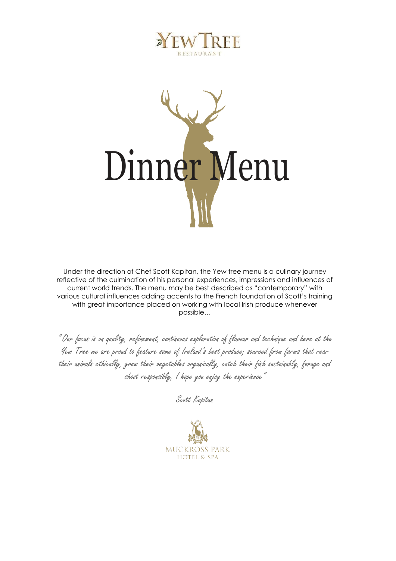



Under the direction of Chef Scott Kapitan, the Yew tree menu is a culinary journey reflective of the culmination of his personal experiences, impressions and influences of current world trends. The menu may be best described as "contemporary" with various cultural influences adding accents to the French foundation of Scott's training with great importance placed on working with local Irish produce whenever possible…

" Our focus is on quality, refinement, continuous exploration of flavour and technique and here at the Yew Tree we are proud to feature some of Ireland's best produce; sourced from farms that rear their animals ethically, grow their vegetables organically, catch their fish sustainably, forage and shoot responsibly, I hope you enjoy the experience"

Scott Kapitan

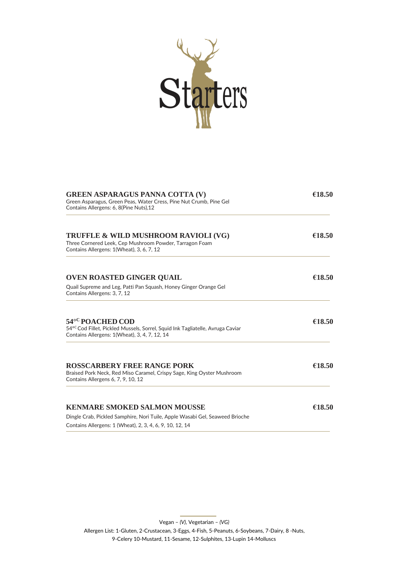

| <b>GREEN ASPARAGUS PANNA COTTA (V)</b><br>Green Asparagus, Green Peas, Water Cress, Pine Nut Crumb, Pine Gel<br>Contains Allergens: 6, 8(Pine Nuts), 12 | €18.50 |
|---------------------------------------------------------------------------------------------------------------------------------------------------------|--------|
| <b>TRUFFLE &amp; WILD MUSHROOM RAVIOLI (VG)</b><br>Three Cornered Leek, Cep Mushroom Powder, Tarragon Foam<br>Contains Allergens: 1(Wheat), 3, 6, 7, 12 | €18.50 |
| <b>OVEN ROASTED GINGER QUAIL</b>                                                                                                                        | €18.50 |
| Quail Supreme and Leg, Patti Pan Squash, Honey Ginger Orange Gel<br>Contains Allergens: 3, 7, 12                                                        |        |
| 54°C POACHED COD<br>54°Cod Fillet, Pickled Mussels, Sorrel, Squid Ink Tagliatelle, Avruga Caviar<br>Contains Allergens: 1(Wheat), 3, 4, 7, 12, 14       | €18.50 |
| <b>ROSSCARBERY FREE RANGE PORK</b><br>Braised Pork Neck, Red Miso Caramel, Crispy Sage, King Oyster Mushroom<br>Contains Allergens 6, 7, 9, 10, 12      | €18.50 |
| <b>KENMARE SMOKED SALMON MOUSSE</b>                                                                                                                     | €18.50 |
| Dingle Crab, Pickled Samphire, Nori Tuile, Apple Wasabi Gel, Seaweed Brioche<br>Contains Allergens: 1 (Wheat), 2, 3, 4, 6, 9, 10, 12, 14                |        |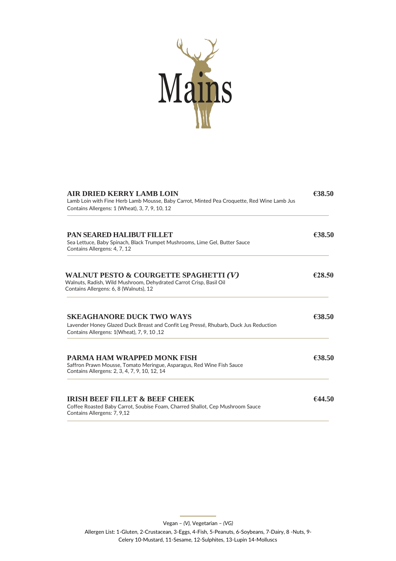

| <b>AIR DRIED KERRY LAMB LOIN</b><br>Lamb Loin with Fine Herb Lamb Mousse, Baby Carrot, Minted Pea Croquette, Red Wine Lamb Jus<br>Contains Allergens: 1 (Wheat), 3, 7, 9, 10, 12 | €38.50 |
|----------------------------------------------------------------------------------------------------------------------------------------------------------------------------------|--------|
| <b>PAN SEARED HALIBUT FILLET</b><br>Sea Lettuce, Baby Spinach, Black Trumpet Mushrooms, Lime Gel, Butter Sauce<br>Contains Allergens: 4, 7, 12                                   | €38.50 |
| WALNUT PESTO & COURGETTE SPAGHETTI (V)<br>Walnuts, Radish, Wild Mushroom, Dehydrated Carrot Crisp, Basil Oil<br>Contains Allergens: 6, 8 (Walnuts), 12                           | €28.50 |
| <b>SKEAGHANORE DUCK TWO WAYS</b><br>Lavender Honey Glazed Duck Breast and Confit Leg Pressé, Rhubarb, Duck Jus Reduction<br>Contains Allergens: 1(Wheat), 7, 9, 10, 12           | €38.50 |
| <b>PARMA HAM WRAPPED MONK FISH</b><br>Saffron Prawn Mousse, Tomato Meringue, Asparagus, Red Wine Fish Sauce<br>Contains Allergens: 2, 3, 4, 7, 9, 10, 12, 14                     | €38.50 |
| <b>IRISH BEEF FILLET &amp; BEEF CHEEK</b><br>Coffee Roasted Baby Carrot, Soubise Foam, Charred Shallot, Cep Mushroom Sauce<br>Contains Allergens: 7, 9,12                        | 644.50 |